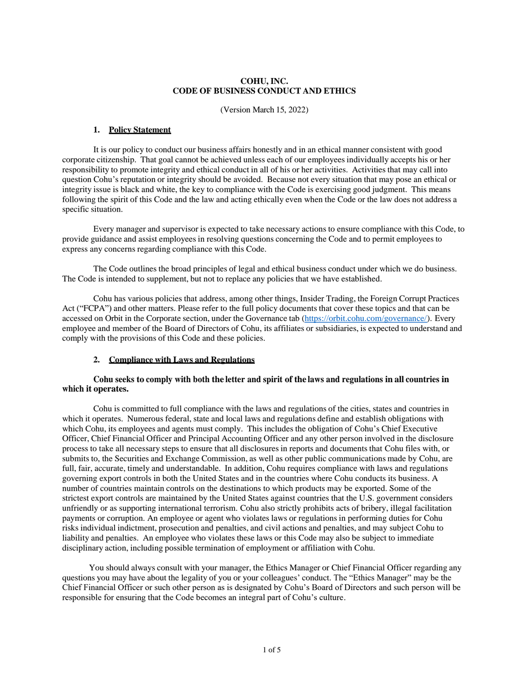# **COHU, INC. CODE OF BUSINESS CONDUCT AND ETHICS**

(Version March 15, 2022)

#### **1. Policy Statement**

It is our policy to conduct our business affairs honestly and in an ethical manner consistent with good corporate citizenship. That goal cannot be achieved unless each of our employees individually accepts his or her responsibility to promote integrity and ethical conduct in all of his or her activities. Activities that may call into question Cohu's reputation or integrity should be avoided. Because not every situation that may pose an ethical or integrity issue is black and white, the key to compliance with the Code is exercising good judgment. This means following the spirit of this Code and the law and acting ethically even when the Code or the law does not address a specific situation.

Every manager and supervisor is expected to take necessary actions to ensure compliance with this Code, to provide guidance and assist employees in resolving questions concerning the Code and to permit employees to express any concerns regarding compliance with this Code.

The Code outlines the broad principles of legal and ethical business conduct under which we do business. The Code is intended to supplement, but not to replace any policies that we have established.

Cohu has various policies that address, among other things, Insider Trading, the Foreign Corrupt Practices Act ("FCPA") and other matters. Please refer to the full policy documents that cover these topics and that can be accessed on Orbit in the Corporate section, under the Governance tab [\(https://orbit.cohu.com/governance/\)](https://orbit.cohu.com/governance/). Every employee and member of the Board of Directors of Cohu, its affiliates or subsidiaries, is expected to understand and comply with the provisions of this Code and these policies.

### **2. Compliance with Laws and Regulations**

### **Cohu seeks to comply with both the letter and spirit of the laws and regulations in all countries in which it operates.**

Cohu is committed to full compliance with the laws and regulations of the cities, states and countries in which it operates. Numerous federal, state and local laws and regulations define and establish obligations with which Cohu, its employees and agents must comply. This includes the obligation of Cohu's Chief Executive Officer, Chief Financial Officer and Principal Accounting Officer and any other person involved in the disclosure process to take all necessary steps to ensure that all disclosures in reports and documents that Cohu files with, or submits to, the Securities and Exchange Commission, as well as other public communications made by Cohu, are full, fair, accurate, timely and understandable. In addition, Cohu requires compliance with laws and regulations governing export controls in both the United States and in the countries where Cohu conducts its business. A number of countries maintain controls on the destinations to which products may be exported. Some of the strictest export controls are maintained by the United States against countries that the U.S. government considers unfriendly or as supporting international terrorism. Cohu also strictly prohibits acts of bribery, illegal facilitation payments or corruption. An employee or agent who violates laws or regulations in performing duties for Cohu risks individual indictment, prosecution and penalties, and civil actions and penalties, and may subject Cohu to liability and penalties. An employee who violates these laws or this Code may also be subject to immediate disciplinary action, including possible termination of employment or affiliation with Cohu.

You should always consult with your manager, the Ethics Manager or Chief Financial Officer regarding any questions you may have about the legality of you or your colleagues' conduct. The "Ethics Manager" may be the Chief Financial Officer or such other person as is designated by Cohu's Board of Directors and such person will be responsible for ensuring that the Code becomes an integral part of Cohu's culture.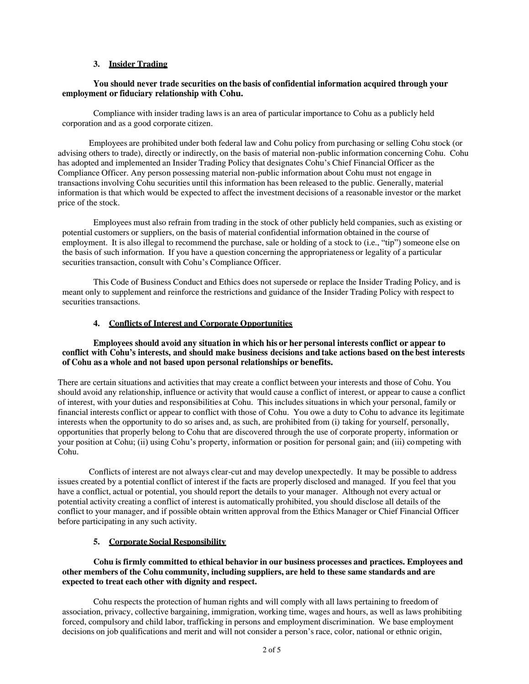## **3. Insider Trading**

### **You should never trade securities on the basis of confidential information acquired through your employment or fiduciary relationship with Cohu.**

Compliance with insider trading laws is an area of particular importance to Cohu as a publicly held corporation and as a good corporate citizen.

Employees are prohibited under both federal law and Cohu policy from purchasing or selling Cohu stock (or advising others to trade), directly or indirectly, on the basis of material non-public information concerning Cohu. Cohu has adopted and implemented an Insider Trading Policy that designates Cohu's Chief Financial Officer as the Compliance Officer. Any person possessing material non-public information about Cohu must not engage in transactions involving Cohu securities until this information has been released to the public. Generally, material information is that which would be expected to affect the investment decisions of a reasonable investor or the market price of the stock.

Employees must also refrain from trading in the stock of other publicly held companies, such as existing or potential customers or suppliers, on the basis of material confidential information obtained in the course of employment. It is also illegal to recommend the purchase, sale or holding of a stock to (i.e., "tip") someone else on the basis of such information. If you have a question concerning the appropriateness or legality of a particular securities transaction, consult with Cohu's Compliance Officer.

This Code of Business Conduct and Ethics does not supersede or replace the Insider Trading Policy, and is meant only to supplement and reinforce the restrictions and guidance of the Insider Trading Policy with respect to securities transactions.

### **4. Conflicts of Interest and Corporate Opportunities**

#### **Employees should avoid any situation in which his or her personal interests conflict or appear to conflict with Cohu's interests, and should make business decisions and take actions based on the best interests of Cohu as a whole and not based upon personal relationships or benefits.**

There are certain situations and activities that may create a conflict between your interests and those of Cohu. You should avoid any relationship, influence or activity that would cause a conflict of interest, or appear to cause a conflict of interest, with your duties and responsibilities at Cohu. This includes situations in which your personal, family or financial interests conflict or appear to conflict with those of Cohu. You owe a duty to Cohu to advance its legitimate interests when the opportunity to do so arises and, as such, are prohibited from (i) taking for yourself, personally, opportunities that properly belong to Cohu that are discovered through the use of corporate property, information or your position at Cohu; (ii) using Cohu's property, information or position for personal gain; and (iii) competing with Cohu.

Conflicts of interest are not always clear-cut and may develop unexpectedly. It may be possible to address issues created by a potential conflict of interest if the facts are properly disclosed and managed. If you feel that you have a conflict, actual or potential, you should report the details to your manager. Although not every actual or potential activity creating a conflict of interest is automatically prohibited, you should disclose all details of the conflict to your manager, and if possible obtain written approval from the Ethics Manager or Chief Financial Officer before participating in any such activity.

# **5. Corporate Social Responsibility**

## **Cohu is firmly committed to ethical behavior in our business processes and practices. Employees and other members of the Cohu community, including suppliers, are held to these same standards and are expected to treat each other with dignity and respect.**

Cohu respects the protection of human rights and will comply with all laws pertaining to freedom of association, privacy, collective bargaining, immigration, working time, wages and hours, as well as laws prohibiting forced, compulsory and child labor, trafficking in persons and employment discrimination. We base employment decisions on job qualifications and merit and will not consider a person's race, color, national or ethnic origin,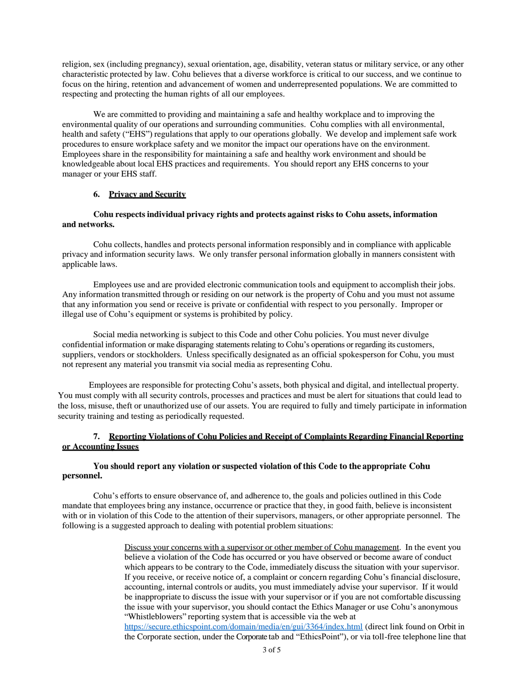religion, sex (including pregnancy), sexual orientation, age, disability, veteran status or military service, or any other characteristic protected by law. Cohu believes that a diverse workforce is critical to our success, and we continue to focus on the hiring, retention and advancement of women and underrepresented populations. We are committed to respecting and protecting the human rights of all our employees.

We are committed to providing and maintaining a safe and healthy workplace and to improving the environmental quality of our operations and surrounding communities. Cohu complies with all environmental, health and safety ("EHS") regulations that apply to our operations globally. We develop and implement safe work procedures to ensure workplace safety and we monitor the impact our operations have on the environment. Employees share in the responsibility for maintaining a safe and healthy work environment and should be knowledgeable about local EHS practices and requirements. You should report any EHS concerns to your manager or your EHS staff.

## **6. Privacy and Security**

## **Cohu respects individual privacy rights and protects against risks to Cohu assets, information and networks.**

Cohu collects, handles and protects personal information responsibly and in compliance with applicable privacy and information security laws. We only transfer personal information globally in manners consistent with applicable laws.

Employees use and are provided electronic communication tools and equipment to accomplish their jobs. Any information transmitted through or residing on our network is the property of Cohu and you must not assume that any information you send or receive is private or confidential with respect to you personally. Improper or illegal use of Cohu's equipment or systems is prohibited by policy.

Social media networking is subject to this Code and other Cohu policies. You must never divulge confidential information or make disparaging statements relating to Cohu's operations or regarding its customers, suppliers, vendors or stockholders. Unless specifically designated as an official spokesperson for Cohu, you must not represent any material you transmit via social media as representing Cohu.

Employees are responsible for protecting Cohu's assets, both physical and digital, and intellectual property. You must comply with all security controls, processes and practices and must be alert for situations that could lead to the loss, misuse, theft or unauthorized use of our assets. You are required to fully and timely participate in information security training and testing as periodically requested.

# **7. Reporting Violations of Cohu Policies and Receipt of Complaints Regarding Financial Reporting or Accounting Issues**

# **You should report any violation or suspected violation of this Code to the appropriate Cohu personnel.**

Cohu's efforts to ensure observance of, and adherence to, the goals and policies outlined in this Code mandate that employees bring any instance, occurrence or practice that they, in good faith, believe is inconsistent with or in violation of this Code to the attention of their supervisors, managers, or other appropriate personnel. The following is a suggested approach to dealing with potential problem situations:

> Discuss your concerns with a supervisor or other member of Cohu management. In the event you believe a violation of the Code has occurred or you have observed or become aware of conduct which appears to be contrary to the Code, immediately discuss the situation with your supervisor. If you receive, or receive notice of, a complaint or concern regarding Cohu's financial disclosure, accounting, internal controls or audits, you must immediately advise your supervisor. If it would be inappropriate to discuss the issue with your supervisor or if you are not comfortable discussing the issue with your supervisor, you should contact the Ethics Manager or use Cohu's anonymous "Whistleblowers" reporting system that is accessible via the web at <https://secure.ethicspoint.com/domain/media/en/gui/3364/index.html> (direct link found on Orbit in

> the Corporate section, under the Corporate tab and "EthicsPoint"), or via toll-free telephone line that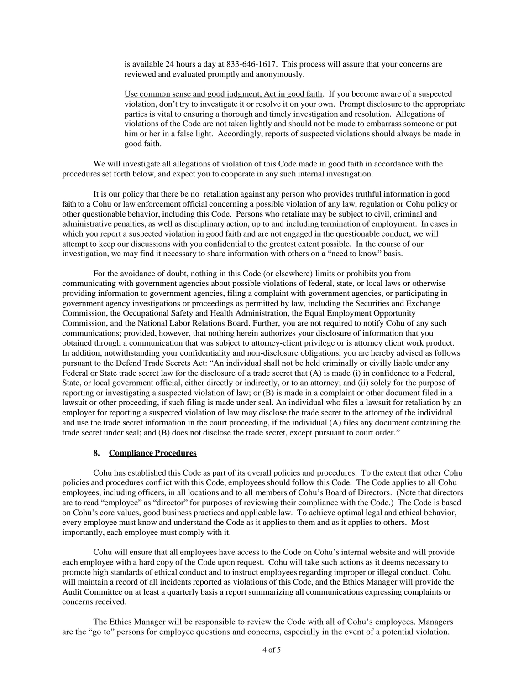is available 24 hours a day at 833-646-1617. This process will assure that your concerns are reviewed and evaluated promptly and anonymously.

Use common sense and good judgment; Act in good faith. If you become aware of a suspected violation, don't try to investigate it or resolve it on your own. Prompt disclosure to the appropriate parties is vital to ensuring a thorough and timely investigation and resolution. Allegations of violations of the Code are not taken lightly and should not be made to embarrass someone or put him or her in a false light. Accordingly, reports of suspected violations should always be made in good faith.

We will investigate all allegations of violation of this Code made in good faith in accordance with the procedures set forth below, and expect you to cooperate in any such internal investigation.

It is our policy that there be no retaliation against any person who provides truthful information in good faith to a Cohu or law enforcement official concerning a possible violation of any law, regulation or Cohu policy or other questionable behavior, including this Code. Persons who retaliate may be subject to civil, criminal and administrative penalties, as well as disciplinary action, up to and including termination of employment. In cases in which you report a suspected violation in good faith and are not engaged in the questionable conduct, we will attempt to keep our discussions with you confidential to the greatest extent possible. In the course of our investigation, we may find it necessary to share information with others on a "need to know" basis.

For the avoidance of doubt, nothing in this Code (or elsewhere) limits or prohibits you from communicating with government agencies about possible violations of federal, state, or local laws or otherwise providing information to government agencies, filing a complaint with government agencies, or participating in government agency investigations or proceedings as permitted by law, including the Securities and Exchange Commission, the Occupational Safety and Health Administration, the Equal Employment Opportunity Commission, and the National Labor Relations Board. Further, you are not required to notify Cohu of any such communications; provided, however, that nothing herein authorizes your disclosure of information that you obtained through a communication that was subject to attorney-client privilege or is attorney client work product. In addition, notwithstanding your confidentiality and non-disclosure obligations, you are hereby advised as follows pursuant to the Defend Trade Secrets Act: "An individual shall not be held criminally or civilly liable under any Federal or State trade secret law for the disclosure of a trade secret that (A) is made (i) in confidence to a Federal, State, or local government official, either directly or indirectly, or to an attorney; and (ii) solely for the purpose of reporting or investigating a suspected violation of law; or (B) is made in a complaint or other document filed in a lawsuit or other proceeding, if such filing is made under seal. An individual who files a lawsuit for retaliation by an employer for reporting a suspected violation of law may disclose the trade secret to the attorney of the individual and use the trade secret information in the court proceeding, if the individual (A) files any document containing the trade secret under seal; and (B) does not disclose the trade secret, except pursuant to court order."

### **8. Compliance Procedures**

Cohu has established this Code as part of its overall policies and procedures. To the extent that other Cohu policies and procedures conflict with this Code, employees should follow this Code. The Code applies to all Cohu employees, including officers, in all locations and to all members of Cohu's Board of Directors. (Note that directors are to read "employee" as "director" for purposes of reviewing their compliance with the Code.) The Code is based on Cohu's core values, good business practices and applicable law. To achieve optimal legal and ethical behavior, every employee must know and understand the Code as it applies to them and as it applies to others. Most importantly, each employee must comply with it.

Cohu will ensure that all employees have access to the Code on Cohu's internal website and will provide each employee with a hard copy of the Code upon request. Cohu will take such actions as it deems necessary to promote high standards of ethical conduct and to instruct employees regarding improper or illegal conduct. Cohu will maintain a record of all incidents reported as violations of this Code, and the Ethics Manager will provide the Audit Committee on at least a quarterly basis a report summarizing all communications expressing complaints or concerns received.

The Ethics Manager will be responsible to review the Code with all of Cohu's employees. Managers are the "go to" persons for employee questions and concerns, especially in the event of a potential violation.